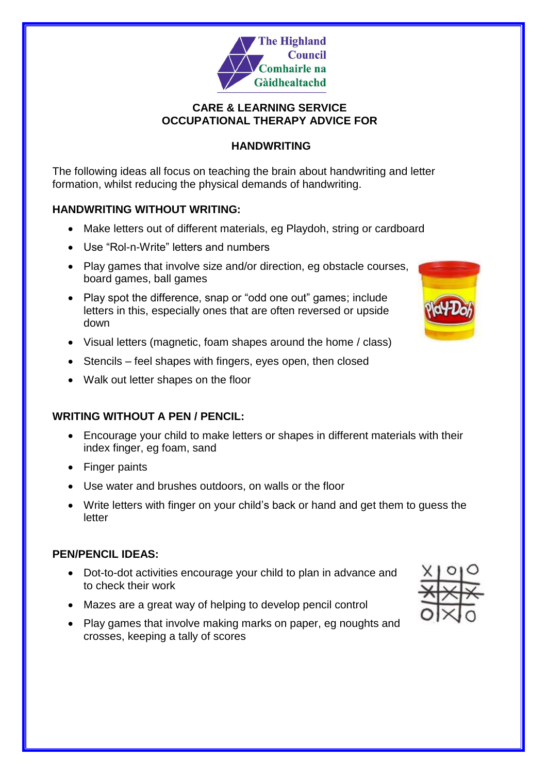

### **CARE & LEARNING SERVICE OCCUPATIONAL THERAPY ADVICE FOR**

## **HANDWRITING**

The following ideas all focus on teaching the brain about handwriting and letter formation, whilst reducing the physical demands of handwriting.

### **HANDWRITING WITHOUT WRITING:**

- Make letters out of different materials, eg Playdoh, string or cardboard
- Use "Rol-n-Write" letters and numbers
- Play games that involve size and/or direction, eg obstacle courses, board games, ball games
- Play spot the difference, snap or "odd one out" games; include letters in this, especially ones that are often reversed or upside down
- Visual letters (magnetic, foam shapes around the home / class)
- Stencils feel shapes with fingers, eyes open, then closed
- Walk out letter shapes on the floor

# **WRITING WITHOUT A PEN / PENCIL:**

- Encourage your child to make letters or shapes in different materials with their index finger, eg foam, sand
- Finger paints
- Use water and brushes outdoors, on walls or the floor
- Write letters with finger on your child's back or hand and get them to guess the letter

# **PEN/PENCIL IDEAS:**

- Dot-to-dot activities encourage your child to plan in advance and to check their work
- Mazes are a great way of helping to develop pencil control
- Play games that involve making marks on paper, eg noughts and crosses, keeping a tally of scores